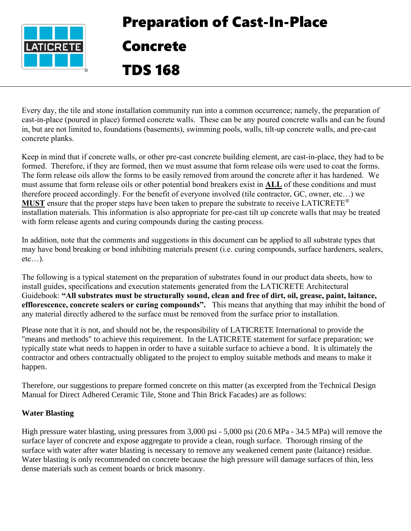

# Preparation of Cast-In-Place Concrete

TDS 168

Every day, the tile and stone installation community run into a common occurrence; namely, the preparation of cast-in-place (poured in place) formed concrete walls. These can be any poured concrete walls and can be found in, but are not limited to, foundations (basements), swimming pools, walls, tilt-up concrete walls, and pre-cast concrete planks.

Keep in mind that if concrete walls, or other pre-cast concrete building element, are cast-in-place, they had to be formed. Therefore, if they are formed, then we must assume that form release oils were used to coat the forms. The form release oils allow the forms to be easily removed from around the concrete after it has hardened. We must assume that form release oils or other potential bond breakers exist in **ALL** of these conditions and must therefore proceed accordingly. For the benefit of everyone involved (tile contractor, GC, owner, etc…) we **MUST** ensure that the proper steps have been taken to prepare the substrate to receive LATICRETE® installation materials. This information is also appropriate for pre-cast tilt up concrete walls that may be treated with form release agents and curing compounds during the casting process.

In addition, note that the comments and suggestions in this document can be applied to all substrate types that may have bond breaking or bond inhibiting materials present (i.e. curing compounds, surface hardeners, sealers,  $etc...$ ).

The following is a typical statement on the preparation of substrates found in our product data sheets, how to install guides, specifications and execution statements generated from the LATICRETE Architectural Guidebook: **"All substrates must be structurally sound, clean and free of dirt, oil, grease, paint, laitance, efflorescence, concrete sealers or curing compounds".** This means that anything that may inhibit the bond of any material directly adhered to the surface must be removed from the surface prior to installation.

Please note that it is not, and should not be, the responsibility of LATICRETE International to provide the "means and methods" to achieve this requirement. In the LATICRETE statement for surface preparation; we typically state what needs to happen in order to have a suitable surface to achieve a bond. It is ultimately the contractor and others contractually obligated to the project to employ suitable methods and means to make it happen.

Therefore, our suggestions to prepare formed concrete on this matter (as excerpted from the Technical Design Manual for Direct Adhered Ceramic Tile, Stone and Thin Brick Facades) are as follows:

# **Water Blasting**

High pressure water blasting, using pressures from 3,000 psi - 5,000 psi (20.6 MPa - 34.5 MPa) will remove the surface layer of concrete and expose aggregate to provide a clean, rough surface. Thorough rinsing of the surface with water after water blasting is necessary to remove any weakened cement paste (laitance) residue. Water blasting is only recommended on concrete because the high pressure will damage surfaces of thin, less dense materials such as cement boards or brick masonry.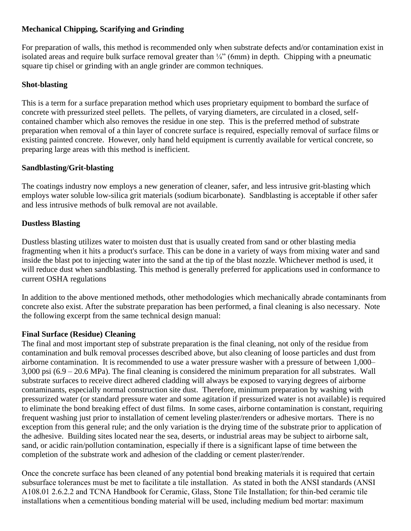# **Mechanical Chipping, Scarifying and Grinding**

For preparation of walls, this method is recommended only when substrate defects and/or contamination exist in isolated areas and require bulk surface removal greater than  $\frac{1}{4}$  (6mm) in depth. Chipping with a pneumatic square tip chisel or grinding with an angle grinder are common techniques.

### **Shot-blasting**

This is a term for a surface preparation method which uses proprietary equipment to bombard the surface of concrete with pressurized steel pellets. The pellets, of varying diameters, are circulated in a closed, selfcontained chamber which also removes the residue in one step. This is the preferred method of substrate preparation when removal of a thin layer of concrete surface is required, especially removal of surface films or existing painted concrete. However, only hand held equipment is currently available for vertical concrete, so preparing large areas with this method is inefficient.

### **Sandblasting/Grit-blasting**

The coatings industry now employs a new generation of cleaner, safer, and less intrusive grit-blasting which employs water soluble low-silica grit materials (sodium bicarbonate). Sandblasting is acceptable if other safer and less intrusive methods of bulk removal are not available.

# **Dustless Blasting**

Dustless blasting utilizes water to moisten dust that is usually created from sand or other blasting media fragmenting when it hits a product's surface. This can be done in a variety of ways from mixing water and sand inside the blast pot to injecting water into the sand at the tip of the blast nozzle. Whichever method is used, it will reduce dust when sandblasting. This method is generally preferred for applications used in conformance to current OSHA regulations

In addition to the above mentioned methods, other methodologies which mechanically abrade contaminants from concrete also exist. After the substrate preparation has been performed, a final cleaning is also necessary. Note the following excerpt from the same technical design manual:

### **Final Surface (Residue) Cleaning**

The final and most important step of substrate preparation is the final cleaning, not only of the residue from contamination and bulk removal processes described above, but also cleaning of loose particles and dust from airborne contamination. It is recommended to use a water pressure washer with a pressure of between 1,000– 3,000 psi (6.9 – 20.6 MPa). The final cleaning is considered the minimum preparation for all substrates. Wall substrate surfaces to receive direct adhered cladding will always be exposed to varying degrees of airborne contaminants, especially normal construction site dust. Therefore, minimum preparation by washing with pressurized water (or standard pressure water and some agitation if pressurized water is not available) is required to eliminate the bond breaking effect of dust films. In some cases, airborne contamination is constant, requiring frequent washing just prior to installation of cement leveling plaster/renders or adhesive mortars. There is no exception from this general rule; and the only variation is the drying time of the substrate prior to application of the adhesive. Building sites located near the sea, deserts, or industrial areas may be subject to airborne salt, sand, or acidic rain/pollution contamination, especially if there is a significant lapse of time between the completion of the substrate work and adhesion of the cladding or cement plaster/render.

Once the concrete surface has been cleaned of any potential bond breaking materials it is required that certain subsurface tolerances must be met to facilitate a tile installation. As stated in both the ANSI standards (ANSI A108.01 2.6.2.2 and TCNA Handbook for Ceramic, Glass, Stone Tile Installation; for thin-bed ceramic tile installations when a cementitious bonding material will be used, including medium bed mortar: maximum